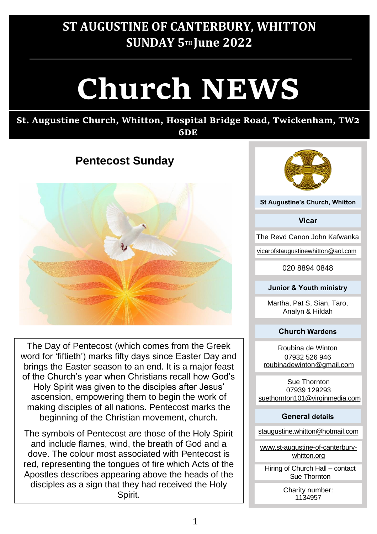# **ST AUGUSTINE OF CANTERBURY, WHITTON SUNDAY 5TH June 2022**

# **Church NEWS**

#### **St. Augustine Church, Whitton, Hospital Bridge Road, Twickenham, TW2 6DE**

# **Pentecost Sunday**



The Day of Pentecost (which comes from the Greek word for 'fiftieth') marks fifty days since Easter Day and brings the Easter season to an end. It is a major feast of the Church's year when Christians recall how God's Holy Spirit was given to the disciples after Jesus' ascension, empowering them to begin the work of making disciples of all nations. Pentecost marks the beginning of the Christian movement, church.

The symbols of Pentecost are those of the Holy Spirit and include flames, wind, the breath of God and a dove. The colour most associated with Pentecost is red, representing the tongues of fire which Acts of the Apostles describes appearing above the heads of the disciples as a sign that they had received the Holy



**Vicar**

The Revd Canon John Kafwanka

vicarofstaugustinewhitton@aol.com

020 8894 0848

#### **Junior & Youth ministry**

Martha, Pat S, Sian, Taro, Analyn & Hildah

#### **Church Wardens**

Roubina de Winton 07932 526 946 roubinadewinton@gmail.com

Sue Thornton 07939 129293 suethornton101@virginmedia.com

#### **General details**

staugustine.whitton@hotmail.com

www.st-augustine-of-canterburywhitton.org

Hiring of Church Hall – contact Sue Thornton

> Charity number: 1134957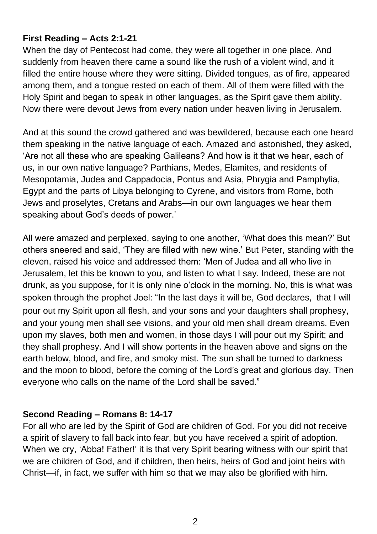#### **First Reading – Acts 2:1-21**

When the day of Pentecost had come, they were all together in one place. And suddenly from heaven there came a sound like the rush of a violent wind, and it filled the entire house where they were sitting. Divided tongues, as of fire, appeared among them, and a tongue rested on each of them. All of them were filled with the Holy Spirit and began to speak in other languages, as the Spirit gave them ability. Now there were devout Jews from every nation under heaven living in Jerusalem.

And at this sound the crowd gathered and was bewildered, because each one heard them speaking in the native language of each. Amazed and astonished, they asked, 'Are not all these who are speaking Galileans? And how is it that we hear, each of us, in our own native language? Parthians, Medes, Elamites, and residents of Mesopotamia, Judea and Cappadocia, Pontus and Asia, Phrygia and Pamphylia, Egypt and the parts of Libya belonging to Cyrene, and visitors from Rome, both Jews and proselytes, Cretans and Arabs—in our own languages we hear them speaking about God's deeds of power.'

All were amazed and perplexed, saying to one another, 'What does this mean?' But others sneered and said, 'They are filled with new wine.' But Peter, standing with the eleven, raised his voice and addressed them: 'Men of Judea and all who live in Jerusalem, let this be known to you, and listen to what I say. Indeed, these are not drunk, as you suppose, for it is only nine o'clock in the morning. No, this is what was spoken through the prophet Joel: "In the last days it will be, God declares, that I will pour out my Spirit upon all flesh, and your sons and your daughters shall prophesy, and your young men shall see visions, and your old men shall dream dreams. Even upon my slaves, both men and women, in those days I will pour out my Spirit; and they shall prophesy. And I will show portents in the heaven above and signs on the earth below, blood, and fire, and smoky mist. The sun shall be turned to darkness and the moon to blood, before the coming of the Lord's great and glorious day. Then everyone who calls on the name of the Lord shall be saved."

#### **Second Reading – Romans 8: 14-17**

For all who are led by the Spirit of God are children of God. For you did not receive a spirit of slavery to fall back into fear, but you have received a spirit of adoption. When we cry, 'Abba! Father!' it is that very Spirit bearing witness with our spirit that we are children of God, and if children, then heirs, heirs of God and joint heirs with Christ—if, in fact, we suffer with him so that we may also be glorified with him.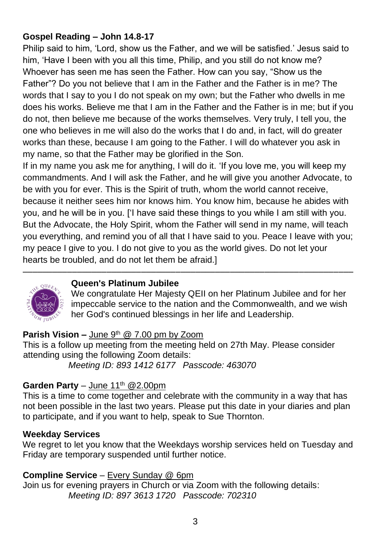## **Gospel Reading – John 14.8-17**

Philip said to him, 'Lord, show us the Father, and we will be satisfied.' Jesus said to him, 'Have I been with you all this time, Philip, and you still do not know me? Whoever has seen me has seen the Father. How can you say, "Show us the Father"? Do you not believe that I am in the Father and the Father is in me? The words that I say to you I do not speak on my own; but the Father who dwells in me does his works. Believe me that I am in the Father and the Father is in me; but if you do not, then believe me because of the works themselves. Very truly, I tell you, the one who believes in me will also do the works that I do and, in fact, will do greater works than these, because I am going to the Father. I will do whatever you ask in my name, so that the Father may be glorified in the Son.

If in my name you ask me for anything, I will do it. 'If you love me, you will keep my commandments. And I will ask the Father, and he will give you another Advocate, to be with you for ever. This is the Spirit of truth, whom the world cannot receive, because it neither sees him nor knows him. You know him, because he abides with you, and he will be in you. ['I have said these things to you while I am still with you. But the Advocate, the Holy Spirit, whom the Father will send in my name, will teach you everything, and remind you of all that I have said to you. Peace I leave with you; my peace I give to you. I do not give to you as the world gives. Do not let your hearts be troubled, and do not let them be afraid.]

–––––––––––––––––––––––––––––––––––––––––––––––––––––––––––––––––––



#### **Queen's Platinum Jubilee**

We congratulate Her Majesty QEII on her Platinum Jubilee and for her impeccable service to the nation and the Commonwealth, and we wish her God's continued blessings in her life and Leadership.

#### **Parish Vision –** June 9<sup>th</sup> @ 7.00 pm by Zoom

This is a follow up meeting from the meeting held on 27th May. Please consider attending using the following Zoom details: *Meeting ID: 893 1412 6177 Passcode: 463070*

#### **Garden Party** – June  $11^{th}$  @2.00pm

This is a time to come together and celebrate with the community in a way that has not been possible in the last two years. Please put this date in your diaries and plan to participate, and if you want to help, speak to Sue Thornton.

#### **Weekday Services**

We regret to let you know that the Weekdays worship services held on Tuesday and Friday are temporary suspended until further notice.

#### **Compline Service** – Every Sunday @ 6pm

Join us for evening prayers in Church or via Zoom with the following details: *Meeting ID: 897 3613 1720 Passcode: 702310*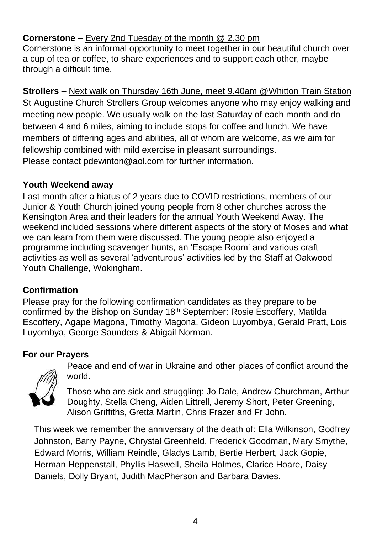## **Cornerstone** – Every 2nd Tuesday of the month @ 2.30 pm

Cornerstone is an informal opportunity to meet together in our beautiful church over a cup of tea or coffee, to share experiences and to support each other, maybe through a difficult time.

**Strollers** – Next walk on Thursday 16th June, meet 9.40am @Whitton Train Station St Augustine Church Strollers Group welcomes anyone who may enjoy walking and meeting new people. We usually walk on the last Saturday of each month and do between 4 and 6 miles, aiming to include stops for coffee and lunch. We have members of differing ages and abilities, all of whom are welcome, as we aim for fellowship combined with mild exercise in pleasant surroundings. Please contact [pdewinton@aol.com](mailto:pdewinton@aol.com) for further information.

#### **Youth Weekend away**

Last month after a hiatus of 2 years due to COVID restrictions, members of our Junior & Youth Church joined young people from 8 other churches across the Kensington Area and their leaders for the annual Youth Weekend Away. The weekend included sessions where different aspects of the story of Moses and what we can learn from them were discussed. The young people also enjoyed a programme including scavenger hunts, an 'Escape Room' and various craft activities as well as several 'adventurous' activities led by the Staff at Oakwood Youth Challenge, Wokingham.

## **Confirmation**

Please pray for the following confirmation candidates as they prepare to be confirmed by the Bishop on Sunday 18th September: Rosie Escoffery, Matilda Escoffery, Agape Magona, Timothy Magona, Gideon Luyombya, Gerald Pratt, Lois Luyombya, George Saunders & Abigail Norman.

## **For our Prayers**



Peace and end of war in Ukraine and other places of conflict around the world.

Those who are sick and struggling: Jo Dale, Andrew Churchman, Arthur Doughty, Stella Cheng, Aiden Littrell, Jeremy Short, Peter Greening, Alison Griffiths, Gretta Martin, Chris Frazer and Fr John.

This week we remember the anniversary of the death of: Ella Wilkinson, Godfrey Johnston, Barry Payne, Chrystal Greenfield, Frederick Goodman, Mary Smythe, Edward Morris, William Reindle, Gladys Lamb, Bertie Herbert, Jack Gopie, Herman Heppenstall, Phyllis Haswell, Sheila Holmes, Clarice Hoare, Daisy Daniels, Dolly Bryant, Judith MacPherson and Barbara Davies.